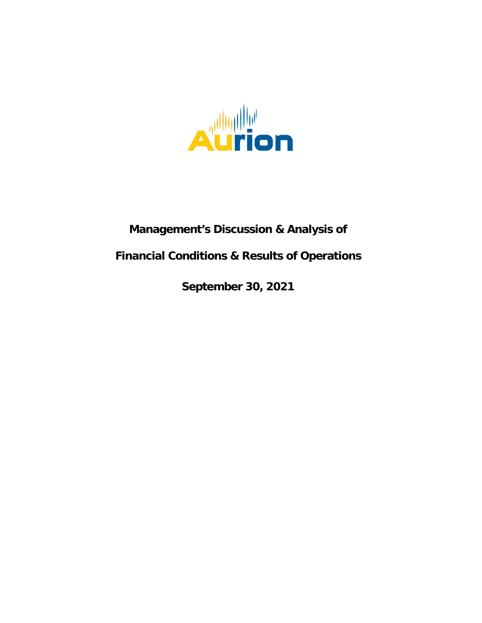

# **Management's Discussion & Analysis of**

# **Financial Conditions & Results of Operations**

**September 30, 2021**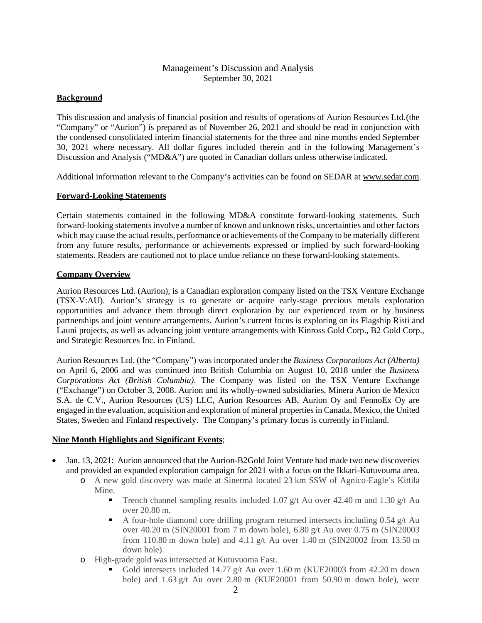## Management's Discussion and Analysis September 30, 2021

## **Background**

This discussion and analysis of financial position and results of operations of Aurion Resources Ltd.(the "Company" or "Aurion") is prepared as of November 26, 2021 and should be read in conjunction with the condensed consolidated interim financial statements for the three and nine months ended September 30, 2021 where necessary. All dollar figures included therein and in the following Management's Discussion and Analysis ("MD&A") are quoted in Canadian dollars unless otherwise indicated.

Additional information relevant to the Company's activities can be found on SEDAR at [www.sedar.com.](http://www.sedar.com/)

## **Forward-Looking Statements**

Certain statements contained in the following MD&A constitute forward-looking statements. Such forward-looking statements involve a number of known and unknown risks, uncertainties and other factors which may cause the actual results, performance or achievements of the Company to be materially different from any future results, performance or achievements expressed or implied by such forward-looking statements. Readers are cautioned not to place undue reliance on these forward-looking statements.

## **Company Overview**

Aurion Resources Ltd. (Aurion), is a Canadian exploration company listed on the TSX Venture Exchange (TSX-V:AU). Aurion's strategy is to generate or acquire early-stage precious metals exploration opportunities and advance them through direct exploration by our experienced team or by business partnerships and joint venture arrangements. Aurion's current focus is exploring on its Flagship Risti and Launi projects, as well as advancing joint venture arrangements with Kinross Gold Corp., B2 Gold Corp., and Strategic Resources Inc. in Finland.

Aurion Resources Ltd. (the "Company") was incorporated under the *Business Corporations Act (Alberta)*  on April 6, 2006 and was continued into British Columbia on August 10, 2018 under the *Business Corporations Act (British Columbia)*. The Company was listed on the TSX Venture Exchange ("Exchange") on October 3, 2008. Aurion and its wholly-owned subsidiaries, Minera Aurion de Mexico S.A. de C.V., Aurion Resources (US) LLC, Aurion Resources AB, Aurion Oy and FennoEx Oy are engaged in the evaluation, acquisition and exploration of mineral properties in Canada, Mexico, the United States, Sweden and Finland respectively. The Company's primary focus is currently in Finland.

## **Nine Month Highlights and Significant Events**;

- Jan. 13, 2021: Aurion announced that the Aurion-B2Gold Joint Venture had made two new discoveries and provided an expanded exploration campaign for 2021 with a focus on the Ikkari-Kutuvouma area.
	- o A new gold discovery was made at Sinermä located 23 km SSW of Agnico-Eagle's Kittilä Mine.
		- Trench channel sampling results included 1.07 g/t Au over 42.40 m and 1.30 g/t Au over 20.80 m.
		- A four-hole diamond core drilling program returned intersects including  $0.54$  g/t Au over 40.20 m (SIN20001 from 7 m down hole), 6.80 g/t Au over 0.75 m (SIN20003 from 110.80 m down hole) and 4.11 g/t Au over 1.40 m (SIN20002 from 13.50 m down hole).
	- o High-grade gold was intersected at Kutuvuoma East.
		- Gold intersects included 14.77 g/t Au over 1.60 m (KUE20003 from 42.20 m down hole) and 1.63 g/t Au over 2.80 m (KUE20001 from 50.90 m down hole), were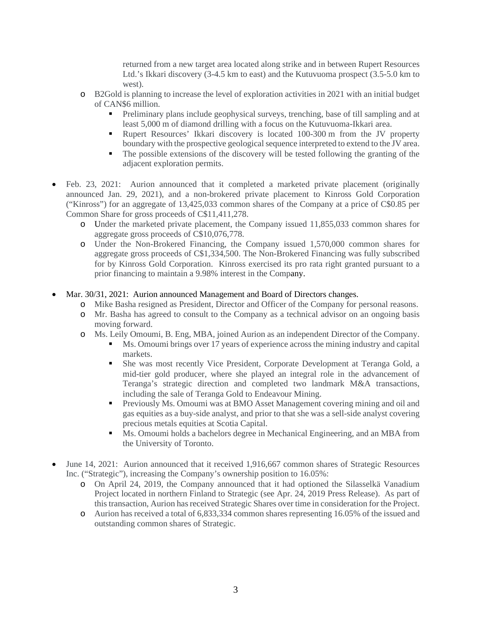returned from a new target area located along strike and in between Rupert Resources Ltd.'s Ikkari discovery (3-4.5 km to east) and the Kutuvuoma prospect (3.5-5.0 km to west).

- o B2Gold is planning to increase the level of exploration activities in 2021 with an initial budget of CAN\$6 million.
	- Preliminary plans include geophysical surveys, trenching, base of till sampling and at least 5,000 m of diamond drilling with a focus on the Kutuvuoma-Ikkari area.
	- Rupert Resources' Ikkari discovery is located 100-300 m from the JV property boundary with the prospective geological sequence interpreted to extend to the JV area.
	- The possible extensions of the discovery will be tested following the granting of the adjacent exploration permits.
- Feb. 23, 2021: Aurion announced that it completed a marketed private placement (originally announced Jan. 29, 2021), and a non-brokered private placement to Kinross Gold Corporation ("Kinross") for an aggregate of 13,425,033 common shares of the Company at a price of C\$0.85 per Common Share for gross proceeds of C\$11,411,278.
	- o Under the marketed private placement, the Company issued 11,855,033 common shares for aggregate gross proceeds of C\$10,076,778.
	- o Under the Non-Brokered Financing, the Company issued 1,570,000 common shares for aggregate gross proceeds of C\$1,334,500. The Non-Brokered Financing was fully subscribed for by Kinross Gold Corporation. Kinross exercised its pro rata right granted pursuant to a prior financing to maintain a 9.98% interest in the Company.
- Mar. 30/31, 2021: Aurion announced Management and Board of Directors changes.
	- o Mike Basha resigned as President, Director and Officer of the Company for personal reasons.
	- o Mr. Basha has agreed to consult to the Company as a technical advisor on an ongoing basis moving forward.
	- o Ms. Leily Omoumi, B. Eng, MBA, joined Aurion as an independent Director of the Company.
		- Ms. Omoumi brings over 17 years of experience across the mining industry and capital markets.
		- She was most recently Vice President, Corporate Development at Teranga Gold, a mid-tier gold producer, where she played an integral role in the advancement of Teranga's strategic direction and completed two landmark M&A transactions, including the sale of Teranga Gold to Endeavour Mining.
		- Previously Ms. Omoumi was at BMO Asset Management covering mining and oil and gas equities as a buy-side analyst, and prior to that she was a sell-side analyst covering precious metals equities at Scotia Capital.
		- Ms. Omoumi holds a bachelors degree in Mechanical Engineering, and an MBA from the University of Toronto.
- June 14, 2021: Aurion announced that it received 1,916,667 common shares of Strategic Resources Inc. ("Strategic"), increasing the Company's ownership position to 16.05%:
	- o On April 24, 2019, the Company announced that it had optioned the Silasselkä Vanadium Project located in northern Finland to Strategic (see Apr. 24, 2019 Press Release). As part of this transaction, Aurion has received Strategic Shares over time in consideration for the Project.
	- o Aurion has received a total of 6,833,334 common shares representing 16.05% of the issued and outstanding common shares of Strategic.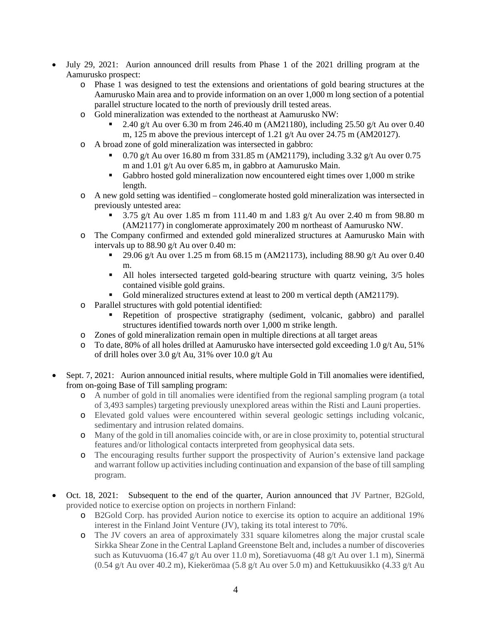- July 29, 2021: Aurion announced drill results from Phase 1 of the 2021 drilling program at the Aamurusko prospect:
	- o Phase 1 was designed to test the extensions and orientations of gold bearing structures at the Aamurusko Main area and to provide information on an over 1,000 m long section of a potential parallel structure located to the north of previously drill tested areas.
	- o Gold mineralization was extended to the northeast at Aamurusko NW:
		- 2.40 g/t Au over 6.30 m from 246.40 m (AM21180), including 25.50 g/t Au over 0.40 m, 125 m above the previous intercept of 1.21 g/t Au over 24.75 m (AM20127).
	- o A broad zone of gold mineralization was intersected in gabbro:
		- 0.70 g/t Au over 16.80 m from 331.85 m (AM21179), including 3.32 g/t Au over 0.75 m and 1.01 g/t Au over 6.85 m, in gabbro at Aamurusko Main.
		- Gabbro hosted gold mineralization now encountered eight times over 1,000 m strike length.
	- o A new gold setting was identified conglomerate hosted gold mineralization was intersected in previously untested area:
		- 3.75 g/t Au over 1.85 m from 111.40 m and 1.83 g/t Au over 2.40 m from 98.80 m (AM21177) in conglomerate approximately 200 m northeast of Aamurusko NW.
	- o The Company confirmed and extended gold mineralized structures at Aamurusko Main with intervals up to 88.90 g/t Au over 0.40 m:
		- 29.06 g/t Au over 1.25 m from 68.15 m (AM21173), including 88.90 g/t Au over 0.40 m.
		- All holes intersected targeted gold-bearing structure with quartz veining, 3/5 holes contained visible gold grains.
		- Gold mineralized structures extend at least to 200 m vertical depth (AM21179).
	- o Parallel structures with gold potential identified:
		- Repetition of prospective stratigraphy (sediment, volcanic, gabbro) and parallel structures identified towards north over 1,000 m strike length.
	- o Zones of gold mineralization remain open in multiple directions at all target areas
	- To date, 80% of all holes drilled at Aamurusko have intersected gold exceeding 1.0  $g/t$  Au, 51% of drill holes over 3.0 g/t Au, 31% over 10.0 g/t Au
- Sept. 7, 2021: Aurion announced initial results, where multiple Gold in Till anomalies were identified, from on-going Base of Till sampling program:
	- o A number of gold in till anomalies were identified from the regional sampling program (a total of 3,493 samples) targeting previously unexplored areas within the Risti and Launi properties.
	- o Elevated gold values were encountered within several geologic settings including volcanic, sedimentary and intrusion related domains.
	- o Many of the gold in till anomalies coincide with, or are in close proximity to, potential structural features and/or lithological contacts interpreted from geophysical data sets.
	- o The encouraging results further support the prospectivity of Aurion's extensive land package and warrant follow up activities including continuation and expansion of the base of till sampling program.
- Oct. 18, 2021: Subsequent to the end of the quarter, Aurion announced that JV Partner, B2Gold, provided notice to exercise option on projects in northern Finland:
	- o B2Gold Corp. has provided Aurion notice to exercise its option to acquire an additional 19% interest in the Finland Joint Venture (JV), taking its total interest to 70%.
	- o The JV covers an area of approximately 331 square kilometres along the major crustal scale Sirkka Shear Zone in the Central Lapland Greenstone Belt and, includes a number of discoveries such as Kutuvuoma (16.47 g/t Au over 11.0 m), Soretiavuoma (48 g/t Au over 1.1 m), Sinermä (0.54 g/t Au over 40.2 m), Kiekerömaa (5.8 g/t Au over 5.0 m) and Kettukuusikko (4.33 g/t Au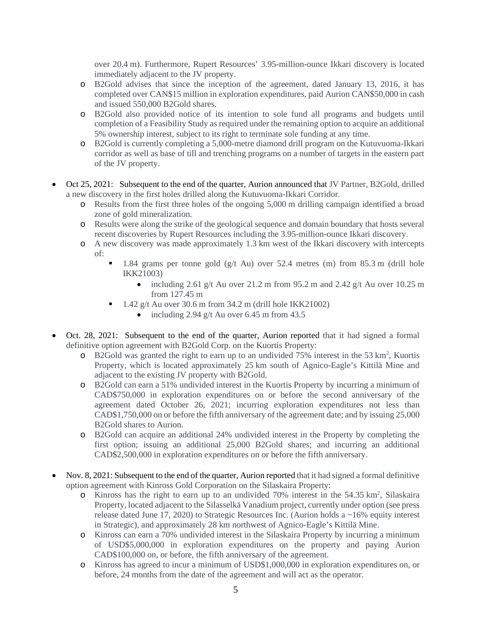over 20.4 m). Furthermore, Rupert Resources' 3.95-million-ounce Ikkari discovery is located immediately adjacent to the JV property.

- o B2Gold advises that since the inception of the agreement, dated January 13, 2016, it has completed over CAN\$15 million in exploration expenditures, paid Aurion CAN\$50,000 in cash and issued 550,000 B2Gold shares.
- o B2Gold also provided notice of its intention to sole fund all programs and budgets until completion of a Feasibility Study as required under the remaining option to acquire an additional 5% ownership interest, subject to its right to terminate sole funding at any time.
- o B2Gold is currently completing a 5,000-metre diamond drill program on the Kutuvuoma-Ikkari corridor as well as base of till and trenching programs on a number of targets in the eastern part of the JV property.
- Oct 25, 2021: Subsequent to the end of the quarter, Aurion announced that JV Partner, B2Gold, drilled a new discovery in the first holes drilled along the Kutuvuoma-Ikkari Corridor.
	- o Results from the first three holes of the ongoing 5,000 m drilling campaign identified a broad zone of gold mineralization.
	- o Results were along the strike of the geological sequence and domain boundary that hosts several recent discoveries by Rupert Resources including the 3.95-million-ounce Ikkari discovery.
	- o A new discovery was made approximately 1.3 km west of the Ikkari discovery with intercepts of:
		- 1.84 grams per tonne gold (g/t Au) over 52.4 metres (m) from 85.3 m (drill hole IKK21003)
			- including 2.61 g/t Au over 21.2 m from 95.2 m and 2.42 g/t Au over 10.25 m from 127.45 m
		- 1.42 g/t Au over 30.6 m from 34.2 m (drill hole IKK21002)
			- including 2.94 g/t Au over 6.45 m from 43.5
- Oct. 28, 2021: Subsequent to the end of the quarter, Aurion reported that it had signed a formal definitive option agreement with B2Gold Corp. on the Kuortis Property:
	- o B2Gold was granted the right to earn up to an undivided 75% interest in the 53 km<sup>2</sup>, Kuortis Property, which is located approximately 25 km south of Agnico-Eagle's Kittilä Mine and adjacent to the existing JV property with B2Gold.
	- o B2Gold can earn a 51% undivided interest in the Kuortis Property by incurring a minimum of CAD\$750,000 in exploration expenditures on or before the second anniversary of the agreement dated October 26, 2021; incurring exploration expenditures not less than CAD\$1,750,000 on or before the fifth anniversary of the agreement date; and by issuing 25,000 B2Gold shares to Aurion.
	- o B2Gold can acquire an additional 24% undivided interest in the Property by completing the first option; issuing an additional 25,000 B2Gold shares; and incurring an additional CAD\$2,500,000 in exploration expenditures on or before the fifth anniversary.
- Nov. 8, 2021: Subsequent to the end of the quarter, Aurion reported that it had signed a formal definitive option agreement with Kinross Gold Corporation on the Silaskaira Property:
	- o Kinross has the right to earn up to an undivided 70% interest in the 54.35 km2 , Silaskaira Property, located adjacent to the Silasselkä Vanadium project, currently under option (see press release dated June 17, 2020) to Strategic Resources Inc. (Aurion holds a ~16% equity interest in Strategic), and approximately 28 km northwest of Agnico-Eagle's Kittilä Mine.
	- o Kinross can earn a 70% undivided interest in the Silaskaira Property by incurring a minimum of USD\$5,000,000 in exploration expenditures on the property and paying Aurion CAD\$100,000 on, or before, the fifth anniversary of the agreement.
	- o Kinross has agreed to incur a minimum of USD\$1,000,000 in exploration expenditures on, or before, 24 months from the date of the agreement and will act as the operator.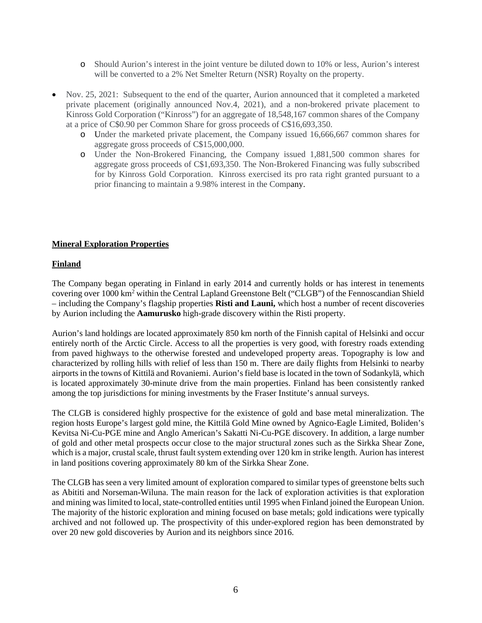- o Should Aurion's interest in the joint venture be diluted down to 10% or less, Aurion's interest will be converted to a 2% Net Smelter Return (NSR) Royalty on the property.
- Nov. 25, 2021: Subsequent to the end of the quarter, Aurion announced that it completed a marketed private placement (originally announced Nov.4, 2021), and a non-brokered private placement to Kinross Gold Corporation ("Kinross") for an aggregate of 18,548,167 common shares of the Company at a price of C\$0.90 per Common Share for gross proceeds of C\$16,693,350.
	- o Under the marketed private placement, the Company issued 16,666,667 common shares for aggregate gross proceeds of C\$15,000,000.
	- o Under the Non-Brokered Financing, the Company issued 1,881,500 common shares for aggregate gross proceeds of C\$1,693,350. The Non-Brokered Financing was fully subscribed for by Kinross Gold Corporation. Kinross exercised its pro rata right granted pursuant to a prior financing to maintain a 9.98% interest in the Company.

#### **Mineral Exploration Properties**

#### **Finland**

The Company began operating in Finland in early 2014 and currently holds or has interest in tenements covering over 1000 km2 within the Central Lapland Greenstone Belt ("CLGB") of the Fennoscandian Shield – including the Company's flagship properties **Risti and Launi,** which host a number of recent discoveries by Aurion including the **Aamurusko** high-grade discovery within the Risti property.

Aurion's land holdings are located approximately 850 km north of the Finnish capital of Helsinki and occur entirely north of the Arctic Circle. Access to all the properties is very good, with forestry roads extending from paved highways to the otherwise forested and undeveloped property areas. Topography is low and characterized by rolling hills with relief of less than 150 m. There are daily flights from Helsinki to nearby airports in the towns of Kittilä and Rovaniemi. Aurion's field base is located in the town of Sodankylä, which is located approximately 30-minute drive from the main properties. Finland has been consistently ranked among the top jurisdictions for mining investments by the Fraser Institute's annual surveys.

The CLGB is considered highly prospective for the existence of gold and base metal mineralization. The region hosts Europe's largest gold mine, the Kittilä Gold Mine owned by Agnico-Eagle Limited, Boliden's Kevitsa Ni-Cu-PGE mine and Anglo American's Sakatti Ni-Cu-PGE discovery. In addition, a large number of gold and other metal prospects occur close to the major structural zones such as the Sirkka Shear Zone, which is a major, crustal scale, thrust fault system extending over 120 km in strike length. Aurion has interest in land positions covering approximately 80 km of the Sirkka Shear Zone.

The CLGB has seen a very limited amount of exploration compared to similar types of greenstone belts such as Abititi and Norseman-Wiluna. The main reason for the lack of exploration activities is that exploration and mining was limited to local, state-controlled entities until 1995 when Finland joined the European Union. The majority of the historic exploration and mining focused on base metals; gold indications were typically archived and not followed up. The prospectivity of this under-explored region has been demonstrated by over 20 new gold discoveries by Aurion and its neighbors since 2016.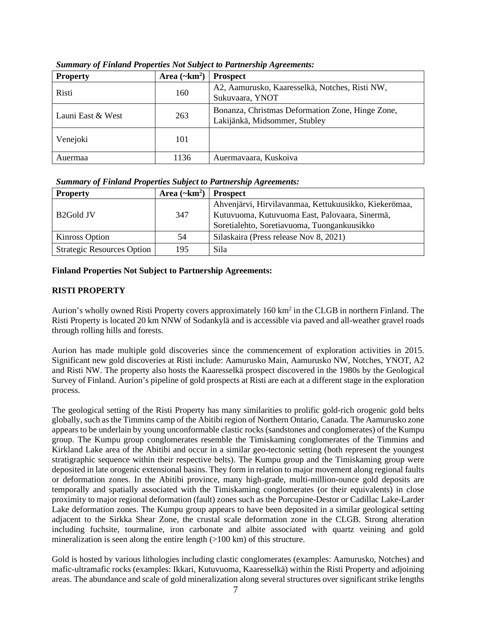| <b>Property</b>   | Area $(\sim km^2)$ | <b>Prospect</b>                                                                   |
|-------------------|--------------------|-----------------------------------------------------------------------------------|
| Risti             | 160                | A2, Aamurusko, Kaaresselkä, Notches, Risti NW,<br>Sukuvaara, YNOT                 |
| Launi East & West | 263                | Bonanza, Christmas Deformation Zone, Hinge Zone,<br>Lakijänkä, Midsommer, Stubley |
| Venejoki          | 101                |                                                                                   |
| Auermaa           | 1136               | Auermavaara, Kuskoiva                                                             |

*Summary of Finland Properties Not Subject to Partnership Agreements:*

*Summary of Finland Properties Subject to Partnership Agreements:*

| <b>Property</b>                   | Area $(\sim km^2)$ | <b>Prospect</b>                                       |
|-----------------------------------|--------------------|-------------------------------------------------------|
|                                   |                    | Ahvenjärvi, Hirvilavanmaa, Kettukuusikko, Kiekerömaa, |
| 347<br>B <sub>2</sub> Gold JV     |                    | Kutuvuoma, Kutuvuoma East, Palovaara, Sinermä,        |
|                                   |                    | Soretialehto, Soretiavuoma, Tuongankuusikko           |
| Kinross Option                    | 54                 | Silaskaira (Press release Nov 8, 2021)                |
| <b>Strategic Resources Option</b> | 195                | Sila                                                  |

# **Finland Properties Not Subject to Partnership Agreements:**

# **RISTI PROPERTY**

Aurion's wholly owned Risti Property covers approximately 160 km<sup>2</sup> in the CLGB in northern Finland. The Risti Property is located 20 km NNW of Sodankylä and is accessible via paved and all-weather gravel roads through rolling hills and forests.

Aurion has made multiple gold discoveries since the commencement of exploration activities in 2015. Significant new gold discoveries at Risti include: Aamurusko Main, Aamurusko NW, Notches, YNOT, A2 and Risti NW. The property also hosts the Kaaresselkä prospect discovered in the 1980s by the Geological Survey of Finland. Aurion's pipeline of gold prospects at Risti are each at a different stage in the exploration process.

The geological setting of the Risti Property has many similarities to prolific gold-rich orogenic gold belts globally, such as the Timmins camp of the Abitibi region of Northern Ontario, Canada. The Aamurusko zone appears to be underlain by young unconformable clastic rocks (sandstones and conglomerates) of the Kumpu group. The Kumpu group conglomerates resemble the Timiskaming conglomerates of the Timmins and Kirkland Lake area of the Abitibi and occur in a similar geo-tectonic setting (both represent the youngest stratigraphic sequence within their respective belts). The Kumpu group and the Timiskaming group were deposited in late orogenic extensional basins. They form in relation to major movement along regional faults or deformation zones. In the Abitibi province, many high-grade, multi-million-ounce gold deposits are temporally and spatially associated with the Timiskaming conglomerates (or their equivalents) in close proximity to major regional deformation (fault) zones such as the Porcupine-Destor or Cadillac Lake-Larder Lake deformation zones. The Kumpu group appears to have been deposited in a similar geological setting adjacent to the Sirkka Shear Zone, the crustal scale deformation zone in the CLGB. Strong alteration including fuchsite, tourmaline, iron carbonate and albite associated with quartz veining and gold mineralization is seen along the entire length  $(>100 \text{ km})$  of this structure.

Gold is hosted by various lithologies including clastic conglomerates (examples: Aamurusko, Notches) and mafic-ultramafic rocks (examples: Ikkari, Kutuvuoma, Kaaresselkä) within the Risti Property and adjoining areas. The abundance and scale of gold mineralization along several structures over significant strike lengths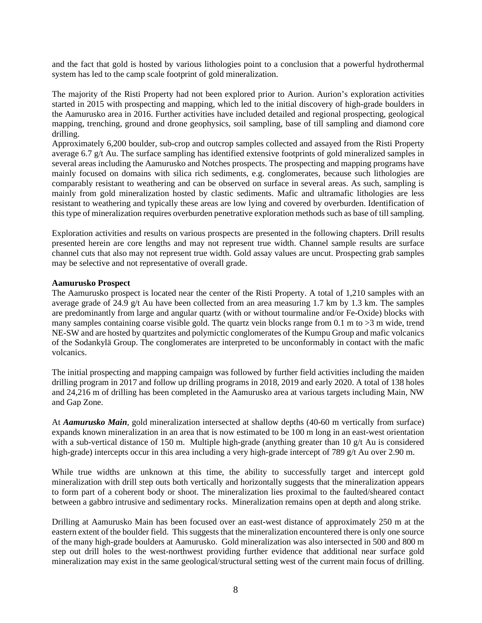and the fact that gold is hosted by various lithologies point to a conclusion that a powerful hydrothermal system has led to the camp scale footprint of gold mineralization.

The majority of the Risti Property had not been explored prior to Aurion. Aurion's exploration activities started in 2015 with prospecting and mapping, which led to the initial discovery of high-grade boulders in the Aamurusko area in 2016. Further activities have included detailed and regional prospecting, geological mapping, trenching, ground and drone geophysics, soil sampling, base of till sampling and diamond core drilling.

Approximately 6,200 boulder, sub-crop and outcrop samples collected and assayed from the Risti Property average 6.7 g/t Au. The surface sampling has identified extensive footprints of gold mineralized samples in several areas including the Aamurusko and Notches prospects. The prospecting and mapping programs have mainly focused on domains with silica rich sediments, e.g. conglomerates, because such lithologies are comparably resistant to weathering and can be observed on surface in several areas. As such, sampling is mainly from gold mineralization hosted by clastic sediments. Mafic and ultramafic lithologies are less resistant to weathering and typically these areas are low lying and covered by overburden. Identification of this type of mineralization requires overburden penetrative exploration methods such as base of till sampling.

Exploration activities and results on various prospects are presented in the following chapters. Drill results presented herein are core lengths and may not represent true width. Channel sample results are surface channel cuts that also may not represent true width. Gold assay values are uncut. Prospecting grab samples may be selective and not representative of overall grade.

#### **Aamurusko Prospect**

The Aamurusko prospect is located near the center of the Risti Property. A total of 1,210 samples with an average grade of 24.9  $g/t$  Au have been collected from an area measuring 1.7 km by 1.3 km. The samples are predominantly from large and angular quartz (with or without tourmaline and/or Fe-Oxide) blocks with many samples containing coarse visible gold. The quartz vein blocks range from 0.1 m to  $>3$  m wide, trend NE-SW and are hosted by quartzites and polymictic conglomerates of the Kumpu Group and mafic volcanics of the Sodankylä Group. The conglomerates are interpreted to be unconformably in contact with the mafic volcanics.

The initial prospecting and mapping campaign was followed by further field activities including the maiden drilling program in 2017 and follow up drilling programs in 2018, 2019 and early 2020. A total of 138 holes and 24,216 m of drilling has been completed in the Aamurusko area at various targets including Main, NW and Gap Zone.

At *Aamurusko Main*, gold mineralization intersected at shallow depths (40-60 m vertically from surface) expands known mineralization in an area that is now estimated to be 100 m long in an east-west orientation with a sub-vertical distance of 150 m. Multiple high-grade (anything greater than 10 g/t Au is considered high-grade) intercepts occur in this area including a very high-grade intercept of 789 g/t Au over 2.90 m.

While true widths are unknown at this time, the ability to successfully target and intercept gold mineralization with drill step outs both vertically and horizontally suggests that the mineralization appears to form part of a coherent body or shoot. The mineralization lies proximal to the faulted/sheared contact between a gabbro intrusive and sedimentary rocks. Mineralization remains open at depth and along strike.

Drilling at Aamurusko Main has been focused over an east-west distance of approximately 250 m at the eastern extent of the boulder field. This suggests that the mineralization encountered there is only one source of the many high-grade boulders at Aamurusko. Gold mineralization was also intersected in 500 and 800 m step out drill holes to the west-northwest providing further evidence that additional near surface gold mineralization may exist in the same geological/structural setting west of the current main focus of drilling.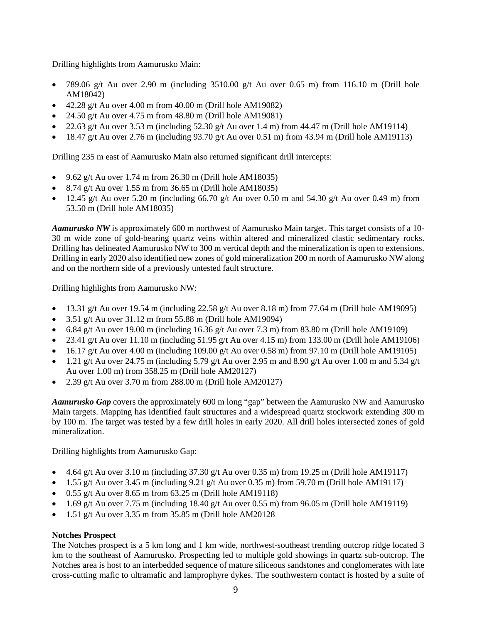Drilling highlights from Aamurusko Main:

- 789.06 g/t Au over 2.90 m (including 3510.00 g/t Au over 0.65 m) from 116.10 m (Drill hole AM18042)
- $\bullet$  42.28 g/t Au over 4.00 m from 40.00 m (Drill hole AM19082)
- 24.50 g/t Au over 4.75 m from  $48.80$  m (Drill hole AM19081)
- 22.63 g/t Au over 3.53 m (including 52.30 g/t Au over 1.4 m) from 44.47 m (Drill hole AM19114)
- $\bullet$  18.47 g/t Au over 2.76 m (including 93.70 g/t Au over 0.51 m) from 43.94 m (Drill hole AM19113)

Drilling 235 m east of Aamurusko Main also returned significant drill intercepts:

- 9.62 g/t Au over 1.74 m from 26.30 m (Drill hole AM18035)
- 8.74 g/t Au over 1.55 m from 36.65 m (Drill hole AM18035)
- 12.45 g/t Au over 5.20 m (including 66.70 g/t Au over 0.50 m and 54.30 g/t Au over 0.49 m) from 53.50 m (Drill hole AM18035)

*Aamurusko NW* is approximately 600 m northwest of Aamurusko Main target. This target consists of a 10- 30 m wide zone of gold-bearing quartz veins within altered and mineralized clastic sedimentary rocks. Drilling has delineated Aamurusko NW to 300 m vertical depth and the mineralization is open to extensions. Drilling in early 2020 also identified new zones of gold mineralization 200 m north of Aamurusko NW along and on the northern side of a previously untested fault structure.

Drilling highlights from Aamurusko NW:

- 13.31 g/t Au over 19.54 m (including  $22.58$  g/t Au over  $8.18$  m) from  $77.64$  m (Drill hole AM19095)
- 3.51 g/t Au over  $31.12$  m from 55.88 m (Drill hole AM19094)
- 6.84 g/t Au over 19.00 m (including 16.36 g/t Au over 7.3 m) from 83.80 m (Drill hole AM19109)
- 23.41 g/t Au over 11.10 m (including 51.95 g/t Au over 4.15 m) from 133.00 m (Drill hole AM19106)
- 16.17 g/t Au over 4.00 m (including 109.00 g/t Au over 0.58 m) from 97.10 m (Drill hole AM19105)
- 1.21 g/t Au over 24.75 m (including 5.79 g/t Au over 2.95 m and 8.90 g/t Au over 1.00 m and 5.34 g/t Au over 1.00 m) from 358.25 m (Drill hole AM20127)
- 2.39 g/t Au over 3.70 m from 288.00 m (Drill hole AM20127)

*Aamurusko Gap* covers the approximately 600 m long "gap" between the Aamurusko NW and Aamurusko Main targets. Mapping has identified fault structures and a widespread quartz stockwork extending 300 m by 100 m. The target was tested by a few drill holes in early 2020. All drill holes intersected zones of gold mineralization.

Drilling highlights from Aamurusko Gap:

- 4.64 g/t Au over 3.10 m (including  $37.30$  g/t Au over 0.35 m) from 19.25 m (Drill hole AM19117)
- 1.55 g/t Au over 3.45 m (including 9.21 g/t Au over 0.35 m) from 59.70 m (Drill hole AM19117)
- $\bullet$  0.55 g/t Au over 8.65 m from 63.25 m (Drill hole AM19118)
- 1.69 g/t Au over 7.75 m (including 18.40 g/t Au over 0.55 m) from 96.05 m (Drill hole AM19119)
- $\bullet$  1.51 g/t Au over 3.35 m from 35.85 m (Drill hole AM20128)

## **Notches Prospect**

The Notches prospect is a 5 km long and 1 km wide, northwest-southeast trending outcrop ridge located 3 km to the southeast of Aamurusko. Prospecting led to multiple gold showings in quartz sub-outcrop. The Notches area is host to an interbedded sequence of mature siliceous sandstones and conglomerates with late cross-cutting mafic to ultramafic and lamprophyre dykes. The southwestern contact is hosted by a suite of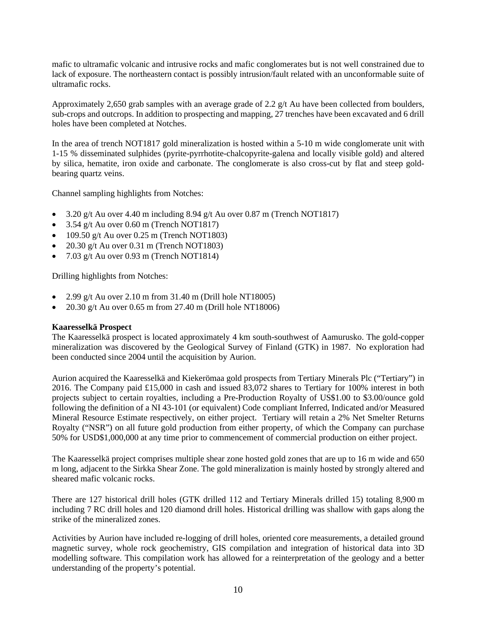mafic to ultramafic volcanic and intrusive rocks and mafic conglomerates but is not well constrained due to lack of exposure. The northeastern contact is possibly intrusion/fault related with an unconformable suite of ultramafic rocks.

Approximately 2,650 grab samples with an average grade of 2.2 g/t Au have been collected from boulders, sub-crops and outcrops. In addition to prospecting and mapping, 27 trenches have been excavated and 6 drill holes have been completed at Notches.

In the area of trench NOT1817 gold mineralization is hosted within a 5-10 m wide conglomerate unit with 1-15 % disseminated sulphides (pyrite-pyrrhotite-chalcopyrite-galena and locally visible gold) and altered by silica, hematite, iron oxide and carbonate. The conglomerate is also cross-cut by flat and steep goldbearing quartz veins.

Channel sampling highlights from Notches:

- 3.20 g/t Au over 4.40 m including 8.94 g/t Au over 0.87 m (Trench NOT1817)
- $3.54$  g/t Au over 0.60 m (Trench NOT1817)
- $\bullet$  109.50 g/t Au over 0.25 m (Trench NOT1803)
- 20.30 g/t Au over 0.31 m (Trench NOT1803)
- $7.03$  g/t Au over 0.93 m (Trench NOT1814)

Drilling highlights from Notches:

- 2.99 g/t Au over 2.10 m from  $31.40$  m (Drill hole NT18005)
- 20.30 g/t Au over 0.65 m from 27.40 m (Drill hole NT18006)

## **Kaaresselkä Prospect**

The Kaaresselkä prospect is located approximately 4 km south-southwest of Aamurusko. The gold-copper mineralization was discovered by the Geological Survey of Finland (GTK) in 1987. No exploration had been conducted since 2004 until the acquisition by Aurion.

Aurion acquired the Kaaresselkä and Kiekerömaa gold prospects from Tertiary Minerals Plc ("Tertiary") in 2016. The Company paid £15,000 in cash and issued 83,072 shares to Tertiary for 100% interest in both projects subject to certain royalties, including a Pre-Production Royalty of US\$1.00 to \$3.00/ounce gold following the definition of a NI 43-101 (or equivalent) Code compliant Inferred, Indicated and/or Measured Mineral Resource Estimate respectively, on either project. Tertiary will retain a 2% Net Smelter Returns Royalty ("NSR") on all future gold production from either property, of which the Company can purchase 50% for USD\$1,000,000 at any time prior to commencement of commercial production on either project.

The Kaaresselkä project comprises multiple shear zone hosted gold zones that are up to 16 m wide and 650 m long, adjacent to the Sirkka Shear Zone. The gold mineralization is mainly hosted by strongly altered and sheared mafic volcanic rocks.

There are 127 historical drill holes (GTK drilled 112 and Tertiary Minerals drilled 15) totaling 8,900 m including 7 RC drill holes and 120 diamond drill holes. Historical drilling was shallow with gaps along the strike of the mineralized zones.

Activities by Aurion have included re-logging of drill holes, oriented core measurements, a detailed ground magnetic survey, whole rock geochemistry, GIS compilation and integration of historical data into 3D modelling software. This compilation work has allowed for a reinterpretation of the geology and a better understanding of the property's potential.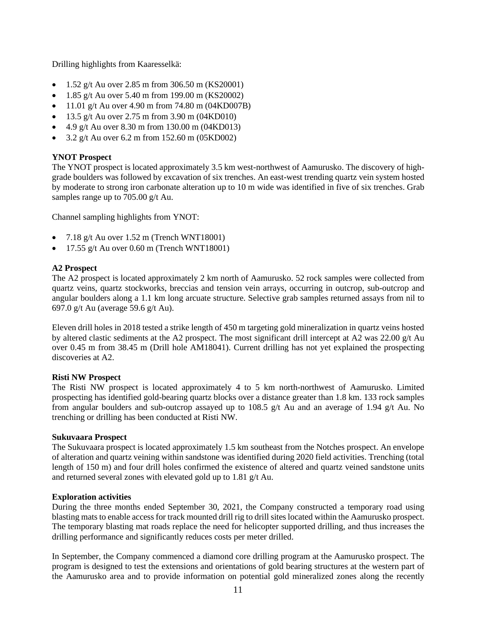Drilling highlights from Kaaresselkä:

- $1.52 \text{ g/t}$  Au over 2.85 m from 306.50 m (KS20001)
- 1.85 g/t Au over 5.40 m from 199.00 m (KS20002)
- 11.01 g/t Au over 4.90 m from 74.80 m  $(04KD007B)$
- 13.5 g/t Au over 2.75 m from 3.90 m (04KD010)
- 4.9 g/t Au over 8.30 m from  $130.00$  m  $(04KD013)$
- 3.2 g/t Au over 6.2 m from 152.60 m  $(05KD002)$

## **YNOT Prospect**

The YNOT prospect is located approximately 3.5 km west-northwest of Aamurusko. The discovery of highgrade boulders was followed by excavation of six trenches. An east-west trending quartz vein system hosted by moderate to strong iron carbonate alteration up to 10 m wide was identified in five of six trenches. Grab samples range up to 705.00 g/t Au.

Channel sampling highlights from YNOT:

- $7.18$  g/t Au over  $1.52$  m (Trench WNT18001)
- 17.55 g/t Au over  $0.60$  m (Trench WNT18001)

## **A2 Prospect**

The A2 prospect is located approximately 2 km north of Aamurusko. 52 rock samples were collected from quartz veins, quartz stockworks, breccias and tension vein arrays, occurring in outcrop, sub-outcrop and angular boulders along a 1.1 km long arcuate structure. Selective grab samples returned assays from nil to 697.0 g/t Au (average 59.6 g/t Au).

Eleven drill holes in 2018 tested a strike length of 450 m targeting gold mineralization in quartz veins hosted by altered clastic sediments at the A2 prospect. The most significant drill intercept at A2 was 22.00 g/t Au over 0.45 m from 38.45 m (Drill hole AM18041). Current drilling has not yet explained the prospecting discoveries at A2.

## **Risti NW Prospect**

The Risti NW prospect is located approximately 4 to 5 km north-northwest of Aamurusko. Limited prospecting has identified gold-bearing quartz blocks over a distance greater than 1.8 km. 133 rock samples from angular boulders and sub-outcrop assayed up to 108.5 g/t Au and an average of 1.94 g/t Au. No trenching or drilling has been conducted at Risti NW.

## **Sukuvaara Prospect**

The Sukuvaara prospect is located approximately 1.5 km southeast from the Notches prospect. An envelope of alteration and quartz veining within sandstone was identified during 2020 field activities. Trenching (total length of 150 m) and four drill holes confirmed the existence of altered and quartz veined sandstone units and returned several zones with elevated gold up to 1.81 g/t Au.

## **Exploration activities**

During the three months ended September 30, 2021, the Company constructed a temporary road using blasting mats to enable access for track mounted drill rig to drill sites located within the Aamurusko prospect. The temporary blasting mat roads replace the need for helicopter supported drilling, and thus increases the drilling performance and significantly reduces costs per meter drilled.

In September, the Company commenced a diamond core drilling program at the Aamurusko prospect. The program is designed to test the extensions and orientations of gold bearing structures at the western part of the Aamurusko area and to provide information on potential gold mineralized zones along the recently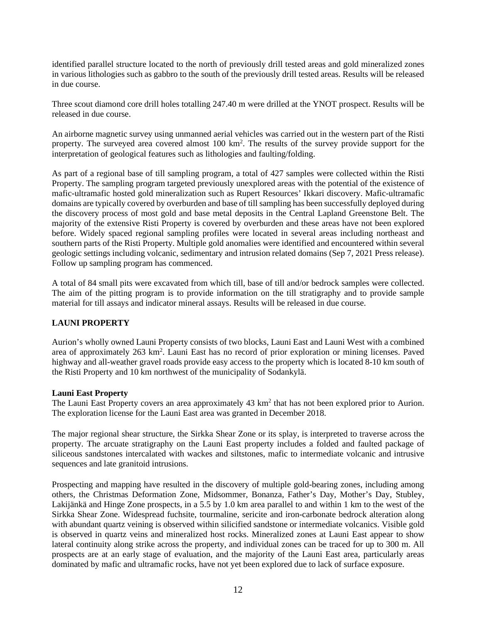identified parallel structure located to the north of previously drill tested areas and gold mineralized zones in various lithologies such as gabbro to the south of the previously drill tested areas. Results will be released in due course.

Three scout diamond core drill holes totalling 247.40 m were drilled at the YNOT prospect. Results will be released in due course.

An airborne magnetic survey using unmanned aerial vehicles was carried out in the western part of the Risti property. The surveyed area covered almost 100 km<sup>2</sup>. The results of the survey provide support for the interpretation of geological features such as lithologies and faulting/folding.

As part of a regional base of till sampling program, a total of 427 samples were collected within the Risti Property. The sampling program targeted previously unexplored areas with the potential of the existence of mafic-ultramafic hosted gold mineralization such as Rupert Resources' Ikkari discovery. Mafic-ultramafic domains are typically covered by overburden and base of till sampling has been successfully deployed during the discovery process of most gold and base metal deposits in the Central Lapland Greenstone Belt. The majority of the extensive Risti Property is covered by overburden and these areas have not been explored before. Widely spaced regional sampling profiles were located in several areas including northeast and southern parts of the Risti Property. Multiple gold anomalies were identified and encountered within several geologic settings including volcanic, sedimentary and intrusion related domains (Sep 7, 2021 Press release). Follow up sampling program has commenced.

A total of 84 small pits were excavated from which till, base of till and/or bedrock samples were collected. The aim of the pitting program is to provide information on the till stratigraphy and to provide sample material for till assays and indicator mineral assays. Results will be released in due course.

# **LAUNI PROPERTY**

Aurion's wholly owned Launi Property consists of two blocks, Launi East and Launi West with a combined area of approximately 263 km<sup>2</sup>. Launi East has no record of prior exploration or mining licenses. Paved highway and all-weather gravel roads provide easy access to the property which is located 8-10 km south of the Risti Property and 10 km northwest of the municipality of Sodankylä.

## **Launi East Property**

The Launi East Property covers an area approximately  $43 \text{ km}^2$  that has not been explored prior to Aurion. The exploration license for the Launi East area was granted in December 2018.

The major regional shear structure, the Sirkka Shear Zone or its splay, is interpreted to traverse across the property. The arcuate stratigraphy on the Launi East property includes a folded and faulted package of siliceous sandstones intercalated with wackes and siltstones, mafic to intermediate volcanic and intrusive sequences and late granitoid intrusions.

Prospecting and mapping have resulted in the discovery of multiple gold-bearing zones, including among others, the Christmas Deformation Zone, Midsommer, Bonanza, Father's Day, Mother's Day, Stubley, Lakijänkä and Hinge Zone prospects, in a 5.5 by 1.0 km area parallel to and within 1 km to the west of the Sirkka Shear Zone. Widespread fuchsite, tourmaline, sericite and iron-carbonate bedrock alteration along with abundant quartz veining is observed within silicified sandstone or intermediate volcanics. Visible gold is observed in quartz veins and mineralized host rocks. Mineralized zones at Launi East appear to show lateral continuity along strike across the property, and individual zones can be traced for up to 300 m. All prospects are at an early stage of evaluation, and the majority of the Launi East area, particularly areas dominated by mafic and ultramafic rocks, have not yet been explored due to lack of surface exposure.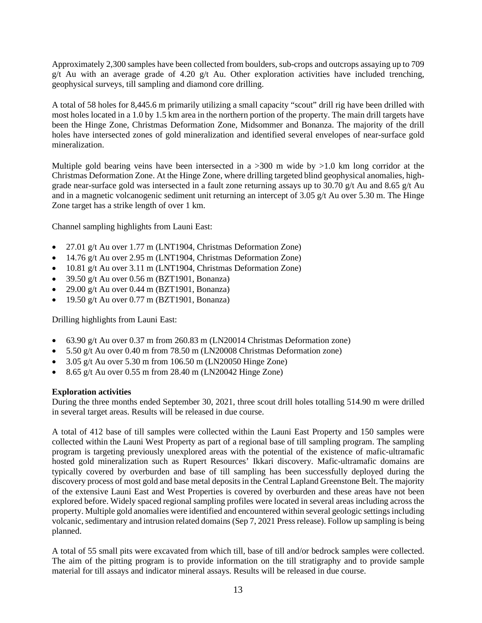Approximately 2,300 samples have been collected from boulders, sub-crops and outcrops assaying up to 709  $g/t$  Au with an average grade of 4.20  $g/t$  Au. Other exploration activities have included trenching, geophysical surveys, till sampling and diamond core drilling.

A total of 58 holes for 8,445.6 m primarily utilizing a small capacity "scout" drill rig have been drilled with most holes located in a 1.0 by 1.5 km area in the northern portion of the property. The main drill targets have been the Hinge Zone, Christmas Deformation Zone, Midsommer and Bonanza. The majority of the drill holes have intersected zones of gold mineralization and identified several envelopes of near-surface gold mineralization.

Multiple gold bearing veins have been intersected in a  $>300$  m wide by  $>1.0$  km long corridor at the Christmas Deformation Zone. At the Hinge Zone, where drilling targeted blind geophysical anomalies, highgrade near-surface gold was intersected in a fault zone returning assays up to 30.70 g/t Au and 8.65 g/t Au and in a magnetic volcanogenic sediment unit returning an intercept of 3.05 g/t Au over 5.30 m. The Hinge Zone target has a strike length of over 1 km.

Channel sampling highlights from Launi East:

- 27.01 g/t Au over 1.77 m (LNT1904, Christmas Deformation Zone)
- 14.76 g/t Au over 2.95 m (LNT1904, Christmas Deformation Zone)
- 10.81 g/t Au over 3.11 m (LNT1904, Christmas Deformation Zone)
- 39.50 g/t Au over 0.56 m (BZT1901, Bonanza)
- 29.00 g/t Au over 0.44 m (BZT1901, Bonanza)
- 19.50 g/t Au over 0.77 m (BZT1901, Bonanza)

Drilling highlights from Launi East:

- 63.90 g/t Au over 0.37 m from 260.83 m (LN20014 Christmas Deformation zone)
- 5.50 g/t Au over 0.40 m from 78.50 m (LN20008 Christmas Deformation zone)
- $3.05$  g/t Au over 5.30 m from 106.50 m (LN20050 Hinge Zone)
- 8.65 g/t Au over 0.55 m from 28.40 m (LN20042 Hinge Zone)

#### **Exploration activities**

During the three months ended September 30, 2021, three scout drill holes totalling 514.90 m were drilled in several target areas. Results will be released in due course.

A total of 412 base of till samples were collected within the Launi East Property and 150 samples were collected within the Launi West Property as part of a regional base of till sampling program. The sampling program is targeting previously unexplored areas with the potential of the existence of mafic-ultramafic hosted gold mineralization such as Rupert Resources' Ikkari discovery. Mafic-ultramafic domains are typically covered by overburden and base of till sampling has been successfully deployed during the discovery process of most gold and base metal deposits in the Central Lapland Greenstone Belt. The majority of the extensive Launi East and West Properties is covered by overburden and these areas have not been explored before. Widely spaced regional sampling profiles were located in several areas including across the property. Multiple gold anomalies were identified and encountered within several geologic settings including volcanic, sedimentary and intrusion related domains (Sep 7, 2021 Press release). Follow up sampling is being planned.

A total of 55 small pits were excavated from which till, base of till and/or bedrock samples were collected. The aim of the pitting program is to provide information on the till stratigraphy and to provide sample material for till assays and indicator mineral assays. Results will be released in due course.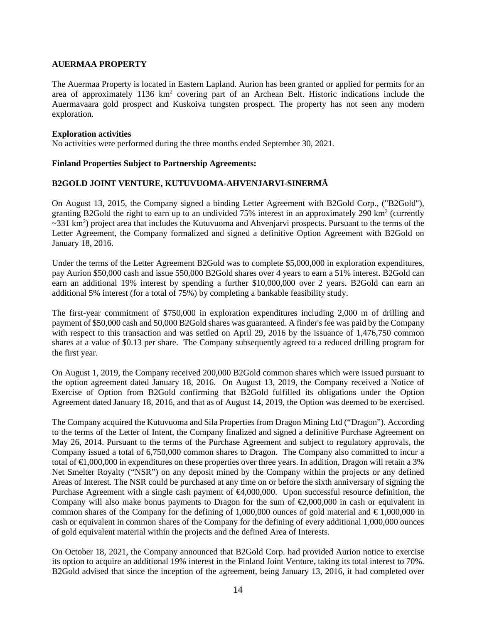## **AUERMAA PROPERTY**

The Auermaa Property is located in Eastern Lapland. Aurion has been granted or applied for permits for an area of approximately 1136 km2 covering part of an Archean Belt. Historic indications include the Auermavaara gold prospect and Kuskoiva tungsten prospect. The property has not seen any modern exploration.

#### **Exploration activities**

No activities were performed during the three months ended September 30, 2021.

## **Finland Properties Subject to Partnership Agreements:**

## **B2GOLD JOINT VENTURE, KUTUVUOMA-AHVENJARVI-SINERMÄ**

On August 13, 2015, the Company signed a binding Letter Agreement with B2Gold Corp., ("B2Gold"), granting B2Gold the right to earn up to an undivided 75% interest in an approximately 290 km2 (currently  $\sim$ 331 km<sup>2</sup>) project area that includes the Kutuvuoma and Ahvenjarvi prospects. Pursuant to the terms of the Letter Agreement, the Company formalized and signed a definitive Option Agreement with B2Gold on January 18, 2016.

Under the terms of the Letter Agreement B2Gold was to complete \$5,000,000 in exploration expenditures, pay Aurion \$50,000 cash and issue 550,000 B2Gold shares over 4 years to earn a 51% interest. B2Gold can earn an additional 19% interest by spending a further \$10,000,000 over 2 years. B2Gold can earn an additional 5% interest (for a total of 75%) by completing a bankable feasibility study.

The first-year commitment of \$750,000 in exploration expenditures including 2,000 m of drilling and payment of \$50,000 cash and 50,000 B2Gold shares was guaranteed. A finder's fee was paid by the Company with respect to this transaction and was settled on April 29, 2016 by the issuance of 1,476,750 common shares at a value of \$0.13 per share. The Company subsequently agreed to a reduced drilling program for the first year.

On August 1, 2019, the Company received 200,000 B2Gold common shares which were issued pursuant to the option agreement dated January 18, 2016. On August 13, 2019, the Company received a Notice of Exercise of Option from B2Gold confirming that B2Gold fulfilled its obligations under the Option Agreement dated January 18, 2016, and that as of August 14, 2019, the Option was deemed to be exercised.

The Company acquired the Kutuvuoma and Sila Properties from Dragon Mining Ltd ("Dragon"). According to the terms of the Letter of Intent, the Company finalized and signed a definitive Purchase Agreement on May 26, 2014. Pursuant to the terms of the Purchase Agreement and subject to regulatory approvals, the Company issued a total of 6,750,000 common shares to Dragon. The Company also committed to incur a total of €1,000,000 in expenditures on these properties over three years. In addition, Dragon will retain a 3% Net Smelter Royalty ("NSR") on any deposit mined by the Company within the projects or any defined Areas of Interest. The NSR could be purchased at any time on or before the sixth anniversary of signing the Purchase Agreement with a single cash payment of  $\bigoplus$ ,000,000. Upon successful resource definition, the Company will also make bonus payments to Dragon for the sum of  $\epsilon$ 2,000,000 in cash or equivalent in common shares of the Company for the defining of 1,000,000 ounces of gold material and  $\epsilon$ 1,000,000 in cash or equivalent in common shares of the Company for the defining of every additional 1,000,000 ounces of gold equivalent material within the projects and the defined Area of Interests.

On October 18, 2021, the Company announced that B2Gold Corp. had provided Aurion notice to exercise its option to acquire an additional 19% interest in the Finland Joint Venture, taking its total interest to 70%. B2Gold advised that since the inception of the agreement, being January 13, 2016, it had completed over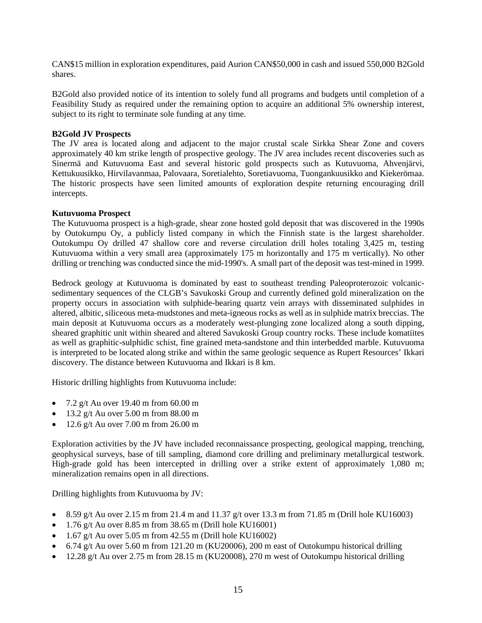CAN\$15 million in exploration expenditures, paid Aurion CAN\$50,000 in cash and issued 550,000 B2Gold shares.

B2Gold also provided notice of its intention to solely fund all programs and budgets until completion of a Feasibility Study as required under the remaining option to acquire an additional 5% ownership interest, subject to its right to terminate sole funding at any time.

#### **B2Gold JV Prospects**

The JV area is located along and adjacent to the major crustal scale Sirkka Shear Zone and covers approximately 40 km strike length of prospective geology. The JV area includes recent discoveries such as Sinermä and Kutuvuoma East and several historic gold prospects such as Kutuvuoma, Ahvenjärvi, Kettukuusikko, Hirvilavanmaa, Palovaara, Soretialehto, Soretiavuoma, Tuongankuusikko and Kiekerömaa. The historic prospects have seen limited amounts of exploration despite returning encouraging drill intercepts.

#### **Kutuvuoma Prospect**

The Kutuvuoma prospect is a high-grade, shear zone hosted gold deposit that was discovered in the 1990s by Outokumpu Oy, a publicly listed company in which the Finnish state is the largest shareholder. Outokumpu Oy drilled 47 shallow core and reverse circulation drill holes totaling 3,425 m, testing Kutuvuoma within a very small area (approximately 175 m horizontally and 175 m vertically). No other drilling or trenching was conducted since the mid-1990's. A small part of the deposit was test-mined in 1999.

Bedrock geology at Kutuvuoma is dominated by east to southeast trending Paleoproterozoic volcanicsedimentary sequences of the CLGB's Savukoski Group and currently defined gold mineralization on the property occurs in association with sulphide-bearing quartz vein arrays with disseminated sulphides in altered, albitic, siliceous meta-mudstones and meta-igneous rocks as well as in sulphide matrix breccias. The main deposit at Kutuvuoma occurs as a moderately west-plunging zone localized along a south dipping, sheared graphitic unit within sheared and altered Savukoski Group country rocks. These include komatiites as well as graphitic-sulphidic schist, fine grained meta-sandstone and thin interbedded marble. Kutuvuoma is interpreted to be located along strike and within the same geologic sequence as Rupert Resources' Ikkari discovery. The distance between Kutuvuoma and Ikkari is 8 km.

Historic drilling highlights from Kutuvuoma include:

- 7.2 g/t Au over 19.40 m from  $60.00 \text{ m}$
- 13.2 g/t Au over  $5.00 \text{ m}$  from  $88.00 \text{ m}$
- 12.6 g/t Au over 7.00 m from 26.00 m

Exploration activities by the JV have included reconnaissance prospecting, geological mapping, trenching, geophysical surveys, base of till sampling, diamond core drilling and preliminary metallurgical testwork. High-grade gold has been intercepted in drilling over a strike extent of approximately 1,080 m; mineralization remains open in all directions.

Drilling highlights from Kutuvuoma by JV:

- 8.59 g/t Au over 2.15 m from 21.4 m and 11.37 g/t over 13.3 m from 71.85 m (Drill hole KU16003)
- 1.76 g/t Au over 8.85 m from 38.65 m (Drill hole KU16001)
- 1.67 g/t Au over 5.05 m from 42.55 m (Drill hole KU16002)
- 6.74 g/t Au over 5.60 m from 121.20 m (KU20006), 200 m east of Outokumpu historical drilling
- 12.28 g/t Au over 2.75 m from 28.15 m (KU20008), 270 m west of Outokumpu historical drilling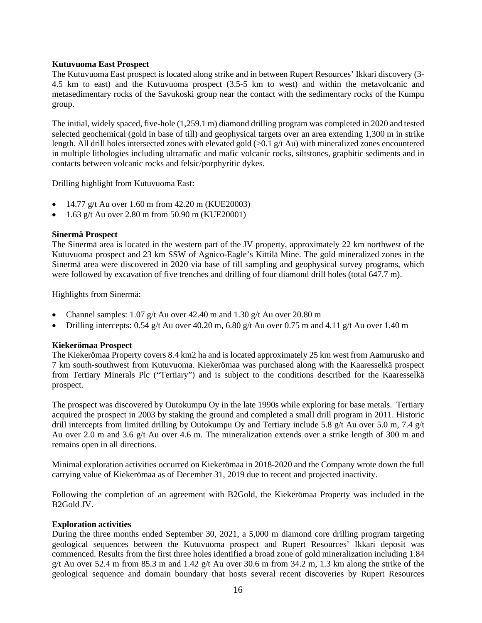#### **Kutuvuoma East Prospect**

The Kutuvuoma East prospect is located along strike and in between Rupert Resources' Ikkari discovery (3- 4.5 km to east) and the Kutuvuoma prospect (3.5-5 km to west) and within the metavolcanic and metasedimentary rocks of the Savukoski group near the contact with the sedimentary rocks of the Kumpu group.

The initial, widely spaced, five-hole (1,259.1 m) diamond drilling program was completed in 2020 and tested selected geochemical (gold in base of till) and geophysical targets over an area extending 1,300 m in strike length. All drill holes intersected zones with elevated gold (>0.1 g/t Au) with mineralized zones encountered in multiple lithologies including ultramafic and mafic volcanic rocks, siltstones, graphitic sediments and in contacts between volcanic rocks and felsic/porphyritic dykes.

Drilling highlight from Kutuvuoma East:

- 14.77 g/t Au over 1.60 m from  $42.20$  m (KUE20003)
- 1.63 g/t Au over 2.80 m from 50.90 m (KUE20001)

#### **Sinermä Prospect**

The Sinermä area is located in the western part of the JV property, approximately 22 km northwest of the Kutuvuoma prospect and 23 km SSW of Agnico-Eagle's Kittilä Mine. The gold mineralized zones in the Sinermä area were discovered in 2020 via base of till sampling and geophysical survey programs, which were followed by excavation of five trenches and drilling of four diamond drill holes (total 647.7 m).

Highlights from Sinermä:

- Channel samples: 1.07 g/t Au over 42.40 m and 1.30 g/t Au over 20.80 m
- Drilling intercepts: 0.54 g/t Au over 40.20 m, 6.80 g/t Au over 0.75 m and 4.11 g/t Au over 1.40 m

#### **Kiekerömaa Prospect**

The Kiekerömaa Property covers 8.4 km2 ha and is located approximately 25 km west from Aamurusko and 7 km south-southwest from Kutuvuoma. Kiekerömaa was purchased along with the Kaaresselkä prospect from Tertiary Minerals Plc ("Tertiary") and is subject to the conditions described for the Kaaresselkä prospect.

The prospect was discovered by Outokumpu Oy in the late 1990s while exploring for base metals. Tertiary acquired the prospect in 2003 by staking the ground and completed a small drill program in 2011. Historic drill intercepts from limited drilling by Outokumpu Oy and Tertiary include 5.8 g/t Au over 5.0 m, 7.4 g/t Au over 2.0 m and 3.6 g/t Au over 4.6 m. The mineralization extends over a strike length of 300 m and remains open in all directions.

Minimal exploration activities occurred on Kiekerömaa in 2018-2020 and the Company wrote down the full carrying value of Kiekerömaa as of December 31, 2019 due to recent and projected inactivity.

Following the completion of an agreement with B2Gold, the Kiekerömaa Property was included in the B2Gold JV.

## **Exploration activities**

During the three months ended September 30, 2021, a 5,000 m diamond core drilling program targeting geological sequences between the Kutuvuoma prospect and Rupert Resources' Ikkari deposit was commenced. Results from the first three holes identified a broad zone of gold mineralization including 1.84 g/t Au over 52.4 m from 85.3 m and 1.42 g/t Au over 30.6 m from 34.2 m, 1.3 km along the strike of the geological sequence and domain boundary that hosts several recent discoveries by Rupert Resources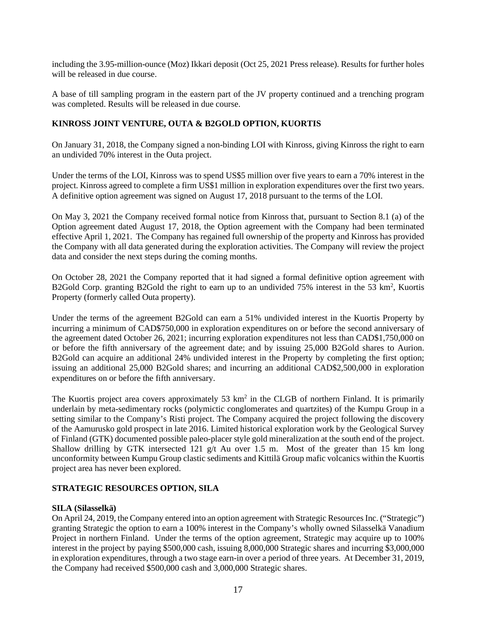including the 3.95-million-ounce (Moz) Ikkari deposit (Oct 25, 2021 Press release). Results for further holes will be released in due course.

A base of till sampling program in the eastern part of the JV property continued and a trenching program was completed. Results will be released in due course.

## **KINROSS JOINT VENTURE, OUTA & B2GOLD OPTION, KUORTIS**

On January 31, 2018, the Company signed a non-binding LOI with Kinross, giving Kinross the right to earn an undivided 70% interest in the Outa project.

Under the terms of the LOI, Kinross was to spend US\$5 million over five years to earn a 70% interest in the project. Kinross agreed to complete a firm US\$1 million in exploration expenditures over the first two years. A definitive option agreement was signed on August 17, 2018 pursuant to the terms of the LOI.

On May 3, 2021 the Company received formal notice from Kinross that, pursuant to Section 8.1 (a) of the Option agreement dated August 17, 2018, the Option agreement with the Company had been terminated effective April 1, 2021. The Company has regained full ownership of the property and Kinross has provided the Company with all data generated during the exploration activities. The Company will review the project data and consider the next steps during the coming months.

On October 28, 2021 the Company reported that it had signed a formal definitive option agreement with B2Gold Corp. granting B2Gold the right to earn up to an undivided 75% interest in the 53 km<sup>2</sup>, Kuortis Property (formerly called Outa property).

Under the terms of the agreement B2Gold can earn a 51% undivided interest in the Kuortis Property by incurring a minimum of CAD\$750,000 in exploration expenditures on or before the second anniversary of the agreement dated October 26, 2021; incurring exploration expenditures not less than CAD\$1,750,000 on or before the fifth anniversary of the agreement date; and by issuing 25,000 B2Gold shares to Aurion. B2Gold can acquire an additional 24% undivided interest in the Property by completing the first option; issuing an additional 25,000 B2Gold shares; and incurring an additional CAD\$2,500,000 in exploration expenditures on or before the fifth anniversary.

The Kuortis project area covers approximately 53 km<sup>2</sup> in the CLGB of northern Finland. It is primarily underlain by meta-sedimentary rocks (polymictic conglomerates and quartzites) of the Kumpu Group in a setting similar to the Company's Risti project. The Company acquired the project following the discovery of the Aamurusko gold prospect in late 2016. Limited historical exploration work by the Geological Survey of Finland (GTK) documented possible paleo-placer style gold mineralization at the south end of the project. Shallow drilling by GTK intersected 121 g/t Au over 1.5 m. Most of the greater than 15 km long unconformity between Kumpu Group clastic sediments and Kittilä Group mafic volcanics within the Kuortis project area has never been explored.

## **STRATEGIC RESOURCES OPTION, SILA**

#### **SILA (Silasselkä)**

On April 24, 2019, the Company entered into an option agreement with Strategic Resources Inc. ("Strategic") granting Strategic the option to earn a 100% interest in the Company's wholly owned Silasselkä Vanadium Project in northern Finland. Under the terms of the option agreement, Strategic may acquire up to 100% interest in the project by paying \$500,000 cash, issuing 8,000,000 Strategic shares and incurring \$3,000,000 in exploration expenditures, through a two stage earn-in over a period of three years. At December 31, 2019, the Company had received \$500,000 cash and 3,000,000 Strategic shares.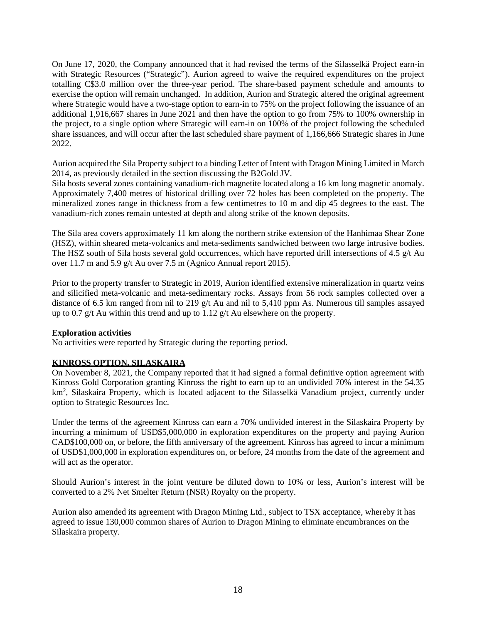On June 17, 2020, the Company announced that it had revised the terms of the Silasselkä Project earn-in with Strategic Resources ("Strategic"). Aurion agreed to waive the required expenditures on the project totalling C\$3.0 million over the three-year period. The share-based payment schedule and amounts to exercise the option will remain unchanged. In addition, Aurion and Strategic altered the original agreement where Strategic would have a two-stage option to earn-in to 75% on the project following the issuance of an additional 1,916,667 shares in June 2021 and then have the option to go from 75% to 100% ownership in the project, to a single option where Strategic will earn-in on 100% of the project following the scheduled share issuances, and will occur after the last scheduled share payment of 1,166,666 Strategic shares in June 2022.

Aurion acquired the Sila Property subject to a binding Letter of Intent with Dragon Mining Limited in March 2014, as previously detailed in the section discussing the B2Gold JV.

Sila hosts several zones containing vanadium-rich magnetite located along a 16 km long magnetic anomaly. Approximately 7,400 metres of historical drilling over 72 holes has been completed on the property. The mineralized zones range in thickness from a few centimetres to 10 m and dip 45 degrees to the east. The vanadium-rich zones remain untested at depth and along strike of the known deposits.

The Sila area covers approximately 11 km along the northern strike extension of the Hanhimaa Shear Zone (HSZ), within sheared meta-volcanics and meta-sediments sandwiched between two large intrusive bodies. The HSZ south of Sila hosts several gold occurrences, which have reported drill intersections of 4.5 g/t Au over 11.7 m and 5.9 g/t Au over 7.5 m (Agnico Annual report 2015).

Prior to the property transfer to Strategic in 2019, Aurion identified extensive mineralization in quartz veins and silicified meta-volcanic and meta-sedimentary rocks. Assays from 56 rock samples collected over a distance of 6.5 km ranged from nil to 219 g/t Au and nil to 5,410 ppm As. Numerous till samples assayed up to 0.7 g/t Au within this trend and up to 1.12 g/t Au elsewhere on the property.

## **Exploration activities**

No activities were reported by Strategic during the reporting period.

#### **KINROSS OPTION, SILASKAIRA**

On November 8, 2021, the Company reported that it had signed a formal definitive option agreement with Kinross Gold Corporation granting Kinross the right to earn up to an undivided 70% interest in the 54.35 km<sup>2</sup>, Silaskaira Property, which is located adjacent to the Silasselkä Vanadium project, currently under option to Strategic Resources Inc.

Under the terms of the agreement Kinross can earn a 70% undivided interest in the Silaskaira Property by incurring a minimum of USD\$5,000,000 in exploration expenditures on the property and paying Aurion CAD\$100,000 on, or before, the fifth anniversary of the agreement. Kinross has agreed to incur a minimum of USD\$1,000,000 in exploration expenditures on, or before, 24 months from the date of the agreement and will act as the operator.

Should Aurion's interest in the joint venture be diluted down to 10% or less, Aurion's interest will be converted to a 2% Net Smelter Return (NSR) Royalty on the property.

Aurion also amended its agreement with Dragon Mining Ltd., subject to TSX acceptance, whereby it has agreed to issue 130,000 common shares of Aurion to Dragon Mining to eliminate encumbrances on the Silaskaira property.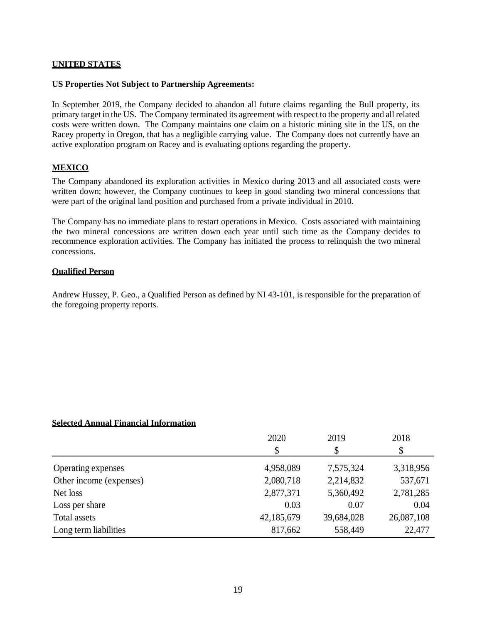#### **UNITED STATES**

#### **US Properties Not Subject to Partnership Agreements:**

In September 2019, the Company decided to abandon all future claims regarding the Bull property, its primary target in the US. The Company terminated its agreement with respect to the property and all related costs were written down. The Company maintains one claim on a historic mining site in the US, on the Racey property in Oregon, that has a negligible carrying value. The Company does not currently have an active exploration program on Racey and is evaluating options regarding the property.

#### **MEXICO**

The Company abandoned its exploration activities in Mexico during 2013 and all associated costs were written down; however, the Company continues to keep in good standing two mineral concessions that were part of the original land position and purchased from a private individual in 2010.

The Company has no immediate plans to restart operations in Mexico. Costs associated with maintaining the two mineral concessions are written down each year until such time as the Company decides to recommence exploration activities. The Company has initiated the process to relinquish the two mineral concessions.

#### **Qualified Person**

Andrew Hussey, P. Geo., a Qualified Person as defined by NI 43-101, is responsible for the preparation of the foregoing property reports.

#### **Selected Annual Financial Information**

|                         | 2020       | 2019       | 2018       |
|-------------------------|------------|------------|------------|
|                         | \$         | \$         | \$         |
| Operating expenses      | 4,958,089  | 7,575,324  | 3,318,956  |
| Other income (expenses) | 2,080,718  | 2,214,832  | 537,671    |
| Net loss                | 2,877,371  | 5,360,492  | 2,781,285  |
| Loss per share          | 0.03       | 0.07       | 0.04       |
| Total assets            | 42,185,679 | 39,684,028 | 26,087,108 |
| Long term liabilities   | 817,662    | 558,449    | 22,477     |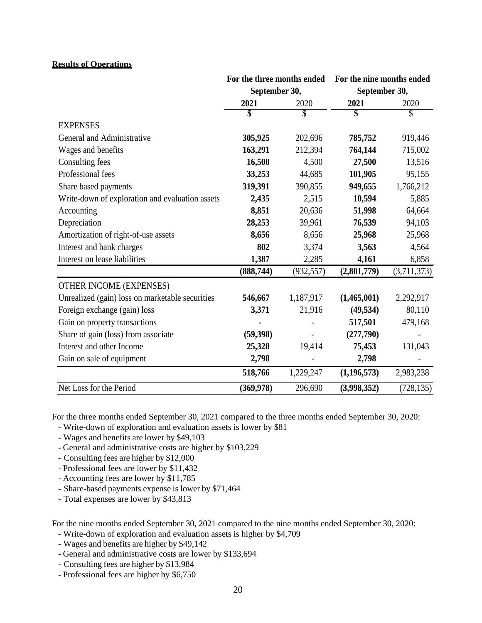#### **Results of Operations**

|                                                 | For the three months ended<br>September 30, |            | For the nine months ended |             |  |
|-------------------------------------------------|---------------------------------------------|------------|---------------------------|-------------|--|
|                                                 |                                             |            | September 30,             |             |  |
|                                                 | 2021                                        | 2020       | 2021                      | 2020        |  |
|                                                 | \$                                          | \$         |                           | \$          |  |
| <b>EXPENSES</b>                                 |                                             |            |                           |             |  |
| General and Administrative                      | 305,925                                     | 202,696    | 785,752                   | 919,446     |  |
| Wages and benefits                              | 163,291                                     | 212,394    | 764,144                   | 715,002     |  |
| Consulting fees                                 | 16,500                                      | 4,500      | 27,500                    | 13,516      |  |
| Professional fees                               | 33,253                                      | 44,685     | 101,905                   | 95,155      |  |
| Share based payments                            | 319,391                                     | 390,855    | 949,655                   | 1,766,212   |  |
| Write-down of exploration and evaluation assets | 2,435                                       | 2,515      | 10,594                    | 5,885       |  |
| Accounting                                      | 8,851                                       | 20,636     | 51,998                    | 64,664      |  |
| Depreciation                                    | 28,253                                      | 39,961     | 76,539                    | 94,103      |  |
| Amortization of right-of-use assets             | 8,656                                       | 8,656      | 25,968                    | 25,968      |  |
| Interest and bank charges                       | 802                                         | 3,374      | 3,563                     | 4,564       |  |
| Interest on lease liabilities                   | 1,387                                       | 2,285      | 4,161                     | 6,858       |  |
|                                                 | (888, 744)                                  | (932, 557) | (2,801,779)               | (3,711,373) |  |
| OTHER INCOME (EXPENSES)                         |                                             |            |                           |             |  |
| Unrealized (gain) loss on marketable securities | 546,667                                     | 1,187,917  | (1,465,001)               | 2,292,917   |  |
| Foreign exchange (gain) loss                    | 3,371                                       | 21,916     | (49, 534)                 | 80,110      |  |
| Gain on property transactions                   |                                             |            | 517,501                   | 479,168     |  |
| Share of gain (loss) from associate             | (59, 398)                                   |            | (277,790)                 |             |  |
| Interest and other Income                       | 25,328                                      | 19,414     | 75,453                    | 131,043     |  |
| Gain on sale of equipment                       | 2,798                                       |            | 2,798                     |             |  |
|                                                 | 518,766                                     | 1,229,247  | (1,196,573)               | 2,983,238   |  |
| Net Loss for the Period                         | (369, 978)                                  | 296,690    | (3,998,352)               | (728, 135)  |  |

For the three months ended September 30, 2021 compared to the three months ended September 30, 2020:

- Write-down of exploration and evaluation assets is lower by \$81
- Wages and benefits are lower by \$49,103
- General and administrative costs are higher by \$103,229
- Consulting fees are higher by \$12,000
- Professional fees are lower by \$11,432
- Accounting fees are lower by \$11,785
- Share-based payments expense is lower by \$71,464
- Total expenses are lower by \$43,813

For the nine months ended September 30, 2021 compared to the nine months ended September 30, 2020:

- Write-down of exploration and evaluation assets is higher by \$4,709
- Wages and benefits are higher by \$49,142
- General and administrative costs are lower by \$133,694
- Consulting fees are higher by \$13,984
- Professional fees are higher by \$6,750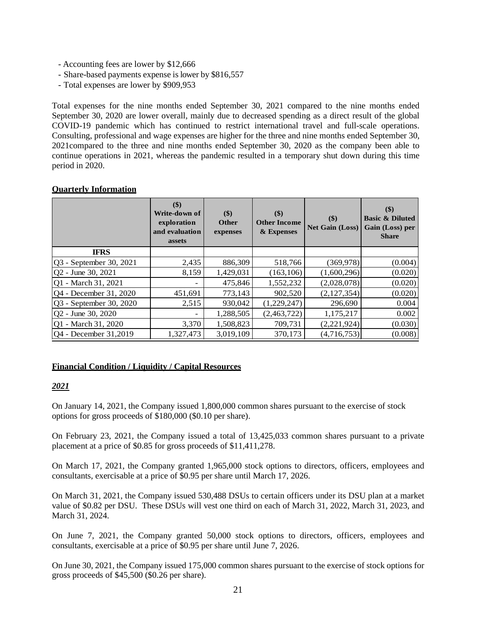- Accounting fees are lower by \$12,666
- Share-based payments expense is lower by \$816,557
- Total expenses are lower by \$909,953

Total expenses for the nine months ended September 30, 2021 compared to the nine months ended September 30, 2020 are lower overall, mainly due to decreased spending as a direct result of the global COVID-19 pandemic which has continued to restrict international travel and full-scale operations. Consulting, professional and wage expenses are higher for the three and nine months ended September 30, 2021compared to the three and nine months ended September 30, 2020 as the company been able to continue operations in 2021, whereas the pandemic resulted in a temporary shut down during this time period in 2020.

## **Quarterly Information**

|                                | $($ \$)<br>Write-down of<br>exploration<br>and evaluation<br>assets | \$)<br><b>Other</b><br>expenses | $($ \$)<br><b>Other Income</b><br>& Expenses | \$)<br><b>Net Gain (Loss)</b> | \$)<br><b>Basic &amp; Diluted</b><br>Gain (Loss) per<br><b>Share</b> |
|--------------------------------|---------------------------------------------------------------------|---------------------------------|----------------------------------------------|-------------------------------|----------------------------------------------------------------------|
| <b>IFRS</b>                    |                                                                     |                                 |                                              |                               |                                                                      |
| Q3 - September 30, 2021        | 2,435                                                               | 886,309                         | 518,766                                      | (369, 978)                    | (0.004)                                                              |
| $ Q2 - \text{June } 30, 2021$  | 8,159                                                               | 1,429,031                       | (163, 106)                                   | (1,600,296)                   | (0.020)                                                              |
| Q1 - March 31, 2021            |                                                                     | 475,846                         | 1,552,232                                    | (2,028,078)                   | (0.020)                                                              |
| Q4 - December 31, 2020         | 451,691                                                             | 773,143                         | 902,520                                      | (2,127,354)                   | (0.020)                                                              |
| <b>Q3</b> - September 30, 2020 | 2,515                                                               | 930,042                         | (1,229,247)                                  | 296,690                       | 0.004                                                                |
| Q2 - June 30, 2020             |                                                                     | 1,288,505                       | (2,463,722)                                  | 1,175,217                     | 0.002                                                                |
| Q1 - March 31, 2020            | 3,370                                                               | 1,508,823                       | 709,731                                      | (2,221,924)                   | (0.030)                                                              |
| Q4 - December 31,2019          | 1,327,473                                                           | 3,019,109                       | 370,173                                      | (4,716,753)                   | (0.008)                                                              |

# **Financial Condition / Liquidity / Capital Resources**

## *2021*

On January 14, 2021, the Company issued 1,800,000 common shares pursuant to the exercise of stock options for gross proceeds of \$180,000 (\$0.10 per share).

On February 23, 2021, the Company issued a total of 13,425,033 common shares pursuant to a private placement at a price of \$0.85 for gross proceeds of \$11,411,278.

On March 17, 2021, the Company granted 1,965,000 stock options to directors, officers, employees and consultants, exercisable at a price of \$0.95 per share until March 17, 2026.

On March 31, 2021, the Company issued 530,488 DSUs to certain officers under its DSU plan at a market value of \$0.82 per DSU. These DSUs will vest one third on each of March 31, 2022, March 31, 2023, and March 31, 2024.

On June 7, 2021, the Company granted 50,000 stock options to directors, officers, employees and consultants, exercisable at a price of \$0.95 per share until June 7, 2026.

On June 30, 2021, the Company issued 175,000 common shares pursuant to the exercise of stock options for gross proceeds of \$45,500 (\$0.26 per share).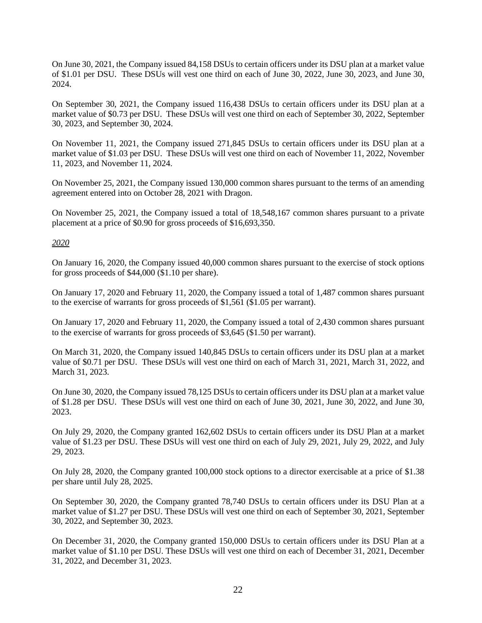On June 30, 2021, the Company issued 84,158 DSUs to certain officers under its DSU plan at a market value of \$1.01 per DSU. These DSUs will vest one third on each of June 30, 2022, June 30, 2023, and June 30, 2024.

On September 30, 2021, the Company issued 116,438 DSUs to certain officers under its DSU plan at a market value of \$0.73 per DSU. These DSUs will vest one third on each of September 30, 2022, September 30, 2023, and September 30, 2024.

On November 11, 2021, the Company issued 271,845 DSUs to certain officers under its DSU plan at a market value of \$1.03 per DSU. These DSUs will vest one third on each of November 11, 2022, November 11, 2023, and November 11, 2024.

On November 25, 2021, the Company issued 130,000 common shares pursuant to the terms of an amending agreement entered into on October 28, 2021 with Dragon.

On November 25, 2021, the Company issued a total of 18,548,167 common shares pursuant to a private placement at a price of \$0.90 for gross proceeds of \$16,693,350.

#### *2020*

On January 16, 2020, the Company issued 40,000 common shares pursuant to the exercise of stock options for gross proceeds of \$44,000 (\$1.10 per share).

On January 17, 2020 and February 11, 2020, the Company issued a total of 1,487 common shares pursuant to the exercise of warrants for gross proceeds of \$1,561 (\$1.05 per warrant).

On January 17, 2020 and February 11, 2020, the Company issued a total of 2,430 common shares pursuant to the exercise of warrants for gross proceeds of \$3,645 (\$1.50 per warrant).

On March 31, 2020, the Company issued 140,845 DSUs to certain officers under its DSU plan at a market value of \$0.71 per DSU. These DSUs will vest one third on each of March 31, 2021, March 31, 2022, and March 31, 2023.

On June 30, 2020, the Company issued 78,125 DSUs to certain officers under its DSU plan at a market value of \$1.28 per DSU. These DSUs will vest one third on each of June 30, 2021, June 30, 2022, and June 30, 2023.

On July 29, 2020, the Company granted 162,602 DSUs to certain officers under its DSU Plan at a market value of \$1.23 per DSU. These DSUs will vest one third on each of July 29, 2021, July 29, 2022, and July 29, 2023.

On July 28, 2020, the Company granted 100,000 stock options to a director exercisable at a price of \$1.38 per share until July 28, 2025.

On September 30, 2020, the Company granted 78,740 DSUs to certain officers under its DSU Plan at a market value of \$1.27 per DSU. These DSUs will vest one third on each of September 30, 2021, September 30, 2022, and September 30, 2023.

On December 31, 2020, the Company granted 150,000 DSUs to certain officers under its DSU Plan at a market value of \$1.10 per DSU. These DSUs will vest one third on each of December 31, 2021, December 31, 2022, and December 31, 2023.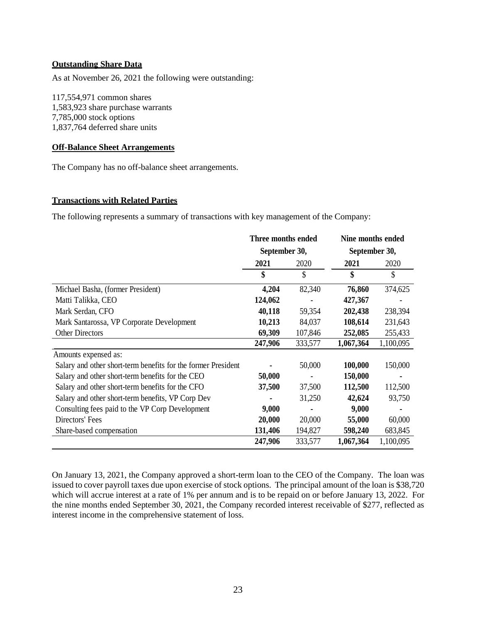#### **Outstanding Share Data**

As at November 26, 2021 the following were outstanding:

117,554,971 common shares 1,583,923 share purchase warrants 7,785,000 stock options 1,837,764 deferred share units

#### **Off-Balance Sheet Arrangements**

The Company has no off-balance sheet arrangements.

#### **Transactions with Related Parties**

The following represents a summary of transactions with key management of the Company:

|                                                               | Three months ended<br>September 30, |         | Nine months ended |           |  |
|---------------------------------------------------------------|-------------------------------------|---------|-------------------|-----------|--|
|                                                               |                                     |         | September 30,     |           |  |
|                                                               | 2021                                | 2020    | 2021              | 2020      |  |
|                                                               | \$                                  | \$      | \$                | \$        |  |
| Michael Basha, (former President)                             | 4,204                               | 82,340  | 76,860            | 374,625   |  |
| Matti Talikka, CEO                                            | 124,062                             |         | 427,367           |           |  |
| Mark Serdan, CFO                                              | 40,118                              | 59,354  | 202,438           | 238,394   |  |
| Mark Santarossa, VP Corporate Development                     | 10,213                              | 84,037  | 108,614           | 231,643   |  |
| <b>Other Directors</b>                                        | 69,309                              | 107,846 | 252,085           | 255,433   |  |
|                                                               | 247,906                             | 333,577 | 1,067,364         | 1,100,095 |  |
| Amounts expensed as:                                          |                                     |         |                   |           |  |
| Salary and other short-term benefits for the former President |                                     | 50,000  | 100,000           | 150,000   |  |
| Salary and other short-term benefits for the CEO              | 50,000                              |         | 150,000           |           |  |
| Salary and other short-term benefits for the CFO              | 37,500                              | 37,500  | 112,500           | 112,500   |  |
| Salary and other short-term benefits, VP Corp Dev             |                                     | 31,250  | 42,624            | 93,750    |  |
| Consulting fees paid to the VP Corp Development               | 9,000                               |         | 9,000             |           |  |
| Directors' Fees                                               | 20,000                              | 20,000  | 55,000            | 60,000    |  |
| Share-based compensation                                      | 131,406                             | 194,827 | 598,240           | 683,845   |  |
|                                                               | 247,906                             | 333,577 | 1,067,364         | 1,100,095 |  |

On January 13, 2021, the Company approved a short-term loan to the CEO of the Company. The loan was issued to cover payroll taxes due upon exercise of stock options. The principal amount of the loan is \$38,720 which will accrue interest at a rate of 1% per annum and is to be repaid on or before January 13, 2022. For the nine months ended September 30, 2021, the Company recorded interest receivable of \$277, reflected as interest income in the comprehensive statement of loss.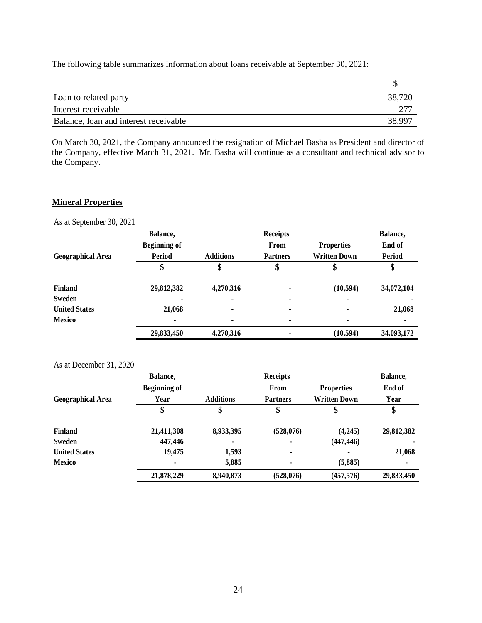| Loan to related party                 | 38,720 |
|---------------------------------------|--------|
| Interest receivable                   | 277    |
| Balance, loan and interest receivable | 38,997 |

The following table summarizes information about loans receivable at September 30, 2021:

On March 30, 2021, the Company announced the resignation of Michael Basha as President and director of the Company, effective March 31, 2021. Mr. Basha will continue as a consultant and technical advisor to the Company.

## **Mineral Properties**

As at September 30, 2021

|                          | Balance,            |                  | <b>Receipts</b> |                     | Balance,      |
|--------------------------|---------------------|------------------|-----------------|---------------------|---------------|
|                          | <b>Beginning of</b> |                  | From            | <b>Properties</b>   | End of        |
| <b>Geographical Area</b> | <b>Period</b>       | <b>Additions</b> | <b>Partners</b> | <b>Written Down</b> | <b>Period</b> |
|                          | \$                  |                  | \$              |                     | Φ             |
| <b>Finland</b>           | 29,812,382          | 4,270,316        | $\blacksquare$  | (10, 594)           | 34,072,104    |
| Sweden                   | ۰                   |                  | $\blacksquare$  | $\blacksquare$      |               |
| <b>United States</b>     | 21,068              |                  | $\blacksquare$  | $\blacksquare$      | 21,068        |
| <b>Mexico</b>            |                     | $\blacksquare$   | ٠               | ٠                   |               |
|                          | 29,833,450          | 4,270,316        |                 | (10, 594)           | 34,093,172    |

## As at December 31, 2020

|                          | Balance,            |                  | <b>Receipts</b> |                     | Balance,   |
|--------------------------|---------------------|------------------|-----------------|---------------------|------------|
|                          | <b>Beginning of</b> |                  | From            | <b>Properties</b>   | End of     |
| <b>Geographical Area</b> | Year                | <b>Additions</b> | <b>Partners</b> | <b>Written Down</b> | Year       |
|                          | \$                  | \$               | \$              | \$                  | \$         |
| <b>Finland</b>           | 21,411,308          | 8,933,395        | (528,076)       | (4,245)             | 29,812,382 |
| Sweden                   | 447,446             | $\blacksquare$   | ٠               | (447, 446)          |            |
| <b>United States</b>     | 19,475              | 1,593            | ۰               |                     | 21,068     |
| <b>Mexico</b>            |                     | 5,885            | ٠               | (5,885)             | ۰          |
|                          | 21,878,229          | 8,940,873        | (528, 076)      | (457, 576)          | 29,833,450 |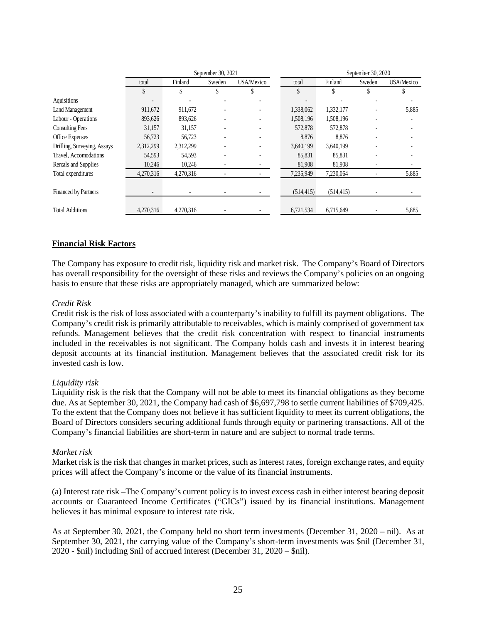| total                    | Finland   | Sweden | USA/Mexico                   | total              | Finland    | Sweden | USA/Mexico         |
|--------------------------|-----------|--------|------------------------------|--------------------|------------|--------|--------------------|
| \$                       | \$        | \$     | S                            | \$                 |            | Y      |                    |
| $\overline{\phantom{a}}$ |           |        |                              |                    |            |        |                    |
| 911,672                  | 911,672   |        | $\qquad \qquad \blacksquare$ | 1,338,062          | 1,332,177  |        | 5,885              |
| 893,626                  | 893,626   |        | ٠                            | 1,508,196          | 1,508,196  |        |                    |
| 31,157                   | 31,157    |        |                              | 572,878            | 572,878    |        |                    |
| 56,723                   | 56,723    |        | ٠                            | 8,876              | 8,876      |        |                    |
| 2,312,299                | 2,312,299 |        |                              | 3,640,199          | 3,640,199  |        |                    |
| 54,593                   | 54,593    |        |                              | 85,831             | 85,831     |        |                    |
| 10,246                   | 10,246    |        |                              | 81,908             | 81,908     |        |                    |
| 4,270,316                | 4,270,316 | ٠      |                              | 7,235,949          | 7,230,064  |        | 5,885              |
|                          |           |        |                              |                    |            |        |                    |
| $\overline{\phantom{a}}$ |           |        |                              | (514, 415)         | (514, 415) |        |                    |
|                          |           |        |                              |                    |            |        |                    |
| 4,270,316                | 4,270,316 |        |                              | 6,721,534          | 6,715,649  |        | 5,885              |
|                          |           |        |                              | September 30, 2021 |            |        | September 30, 2020 |

## **Financial Risk Factors**

The Company has exposure to credit risk, liquidity risk and market risk. The Company's Board of Directors has overall responsibility for the oversight of these risks and reviews the Company's policies on an ongoing basis to ensure that these risks are appropriately managed, which are summarized below:

#### *Credit Risk*

Credit risk is the risk of loss associated with a counterparty's inability to fulfill its payment obligations. The Company's credit risk is primarily attributable to receivables, which is mainly comprised of government tax refunds. Management believes that the credit risk concentration with respect to financial instruments included in the receivables is not significant. The Company holds cash and invests it in interest bearing deposit accounts at its financial institution. Management believes that the associated credit risk for its invested cash is low.

#### *Liquidity risk*

Liquidity risk is the risk that the Company will not be able to meet its financial obligations as they become due. As at September 30, 2021, the Company had cash of \$6,697,798 to settle current liabilities of \$709,425. To the extent that the Company does not believe it has sufficient liquidity to meet its current obligations, the Board of Directors considers securing additional funds through equity or partnering transactions. All of the Company's financial liabilities are short-term in nature and are subject to normal trade terms.

## *Market risk*

Market risk is the risk that changes in market prices, such as interest rates, foreign exchange rates, and equity prices will affect the Company's income or the value of its financial instruments.

(a) Interest rate risk –The Company's current policy is to invest excess cash in either interest bearing deposit accounts or Guaranteed Income Certificates ("GICs") issued by its financial institutions. Management believes it has minimal exposure to interest rate risk.

As at September 30, 2021, the Company held no short term investments (December 31, 2020 – nil). As at September 30, 2021, the carrying value of the Company's short-term investments was \$nil (December 31, 2020 - \$nil) including \$nil of accrued interest (December 31, 2020 – \$nil).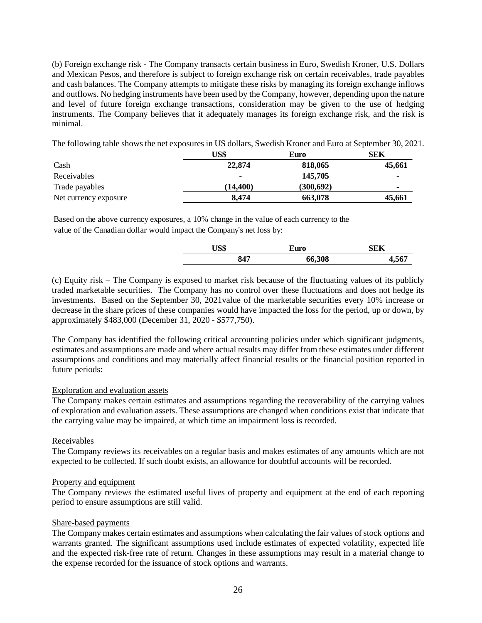(b) Foreign exchange risk - The Company transacts certain business in Euro, Swedish Kroner, U.S. Dollars and Mexican Pesos, and therefore is subject to foreign exchange risk on certain receivables, trade payables and cash balances. The Company attempts to mitigate these risks by managing its foreign exchange inflows and outflows. No hedging instruments have been used by the Company, however, depending upon the nature and level of future foreign exchange transactions, consideration may be given to the use of hedging instruments. The Company believes that it adequately manages its foreign exchange risk, and the risk is minimal.

The following table shows the net exposures in US dollars, Swedish Kroner and Euro at September 30, 2021.

|                       | US\$           | Euro      | SEK    |
|-----------------------|----------------|-----------|--------|
| Cash                  | 22,874         | 818,065   | 45,661 |
| Receivables           | $\blacksquare$ | 145,705   | ۰      |
| Trade payables        | (14.400)       | (300,692) |        |
| Net currency exposure | 8.474          | 663,078   | 45,661 |

Based on the above currency exposures, a 10% change in the value of each currency to the value of the Canadian dollar would impact the Company's net loss by:

|     | Euro   | SEK |
|-----|--------|-----|
| 847 | 66,308 |     |

(c) Equity risk – The Company is exposed to market risk because of the fluctuating values of its publicly traded marketable securities. The Company has no control over these fluctuations and does not hedge its investments. Based on the September 30, 2021value of the marketable securities every 10% increase or decrease in the share prices of these companies would have impacted the loss for the period, up or down, by approximately \$483,000 (December 31, 2020 - \$577,750).

The Company has identified the following critical accounting policies under which significant judgments, estimates and assumptions are made and where actual results may differ from these estimates under different assumptions and conditions and may materially affect financial results or the financial position reported in future periods:

## Exploration and evaluation assets

The Company makes certain estimates and assumptions regarding the recoverability of the carrying values of exploration and evaluation assets. These assumptions are changed when conditions exist that indicate that the carrying value may be impaired, at which time an impairment loss is recorded.

## Receivables

The Company reviews its receivables on a regular basis and makes estimates of any amounts which are not expected to be collected. If such doubt exists, an allowance for doubtful accounts will be recorded.

## Property and equipment

The Company reviews the estimated useful lives of property and equipment at the end of each reporting period to ensure assumptions are still valid.

## Share-based payments

The Company makes certain estimates and assumptions when calculating the fair values of stock options and warrants granted. The significant assumptions used include estimates of expected volatility, expected life and the expected risk-free rate of return. Changes in these assumptions may result in a material change to the expense recorded for the issuance of stock options and warrants.